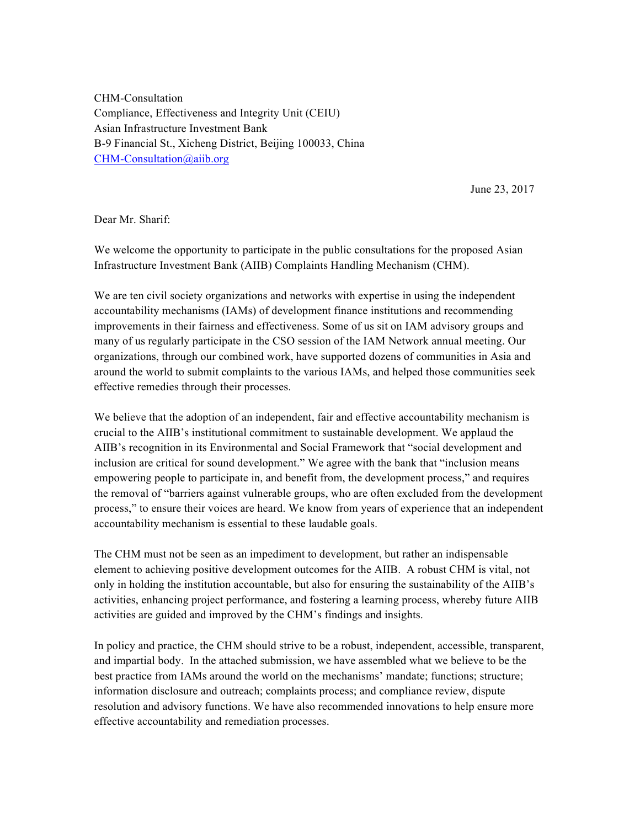CHM-Consultation Compliance, Effectiveness and Integrity Unit (CEIU) Asian Infrastructure Investment Bank B-9 Financial St., Xicheng District, Beijing 100033, China CHM-Consultation@aiib.org

June 23, 2017

Dear Mr. Sharif:

We welcome the opportunity to participate in the public consultations for the proposed Asian Infrastructure Investment Bank (AIIB) Complaints Handling Mechanism (CHM).

We are ten civil society organizations and networks with expertise in using the independent accountability mechanisms (IAMs) of development finance institutions and recommending improvements in their fairness and effectiveness. Some of us sit on IAM advisory groups and many of us regularly participate in the CSO session of the IAM Network annual meeting. Our organizations, through our combined work, have supported dozens of communities in Asia and around the world to submit complaints to the various IAMs, and helped those communities seek effective remedies through their processes.

We believe that the adoption of an independent, fair and effective accountability mechanism is crucial to the AIIB's institutional commitment to sustainable development. We applaud the AIIB's recognition in its Environmental and Social Framework that "social development and inclusion are critical for sound development." We agree with the bank that "inclusion means empowering people to participate in, and benefit from, the development process," and requires the removal of "barriers against vulnerable groups, who are often excluded from the development process," to ensure their voices are heard. We know from years of experience that an independent accountability mechanism is essential to these laudable goals.

The CHM must not be seen as an impediment to development, but rather an indispensable element to achieving positive development outcomes for the AIIB. A robust CHM is vital, not only in holding the institution accountable, but also for ensuring the sustainability of the AIIB's activities, enhancing project performance, and fostering a learning process, whereby future AIIB activities are guided and improved by the CHM's findings and insights.

In policy and practice, the CHM should strive to be a robust, independent, accessible, transparent, and impartial body. In the attached submission, we have assembled what we believe to be the best practice from IAMs around the world on the mechanisms' mandate; functions; structure; information disclosure and outreach; complaints process; and compliance review, dispute resolution and advisory functions. We have also recommended innovations to help ensure more effective accountability and remediation processes.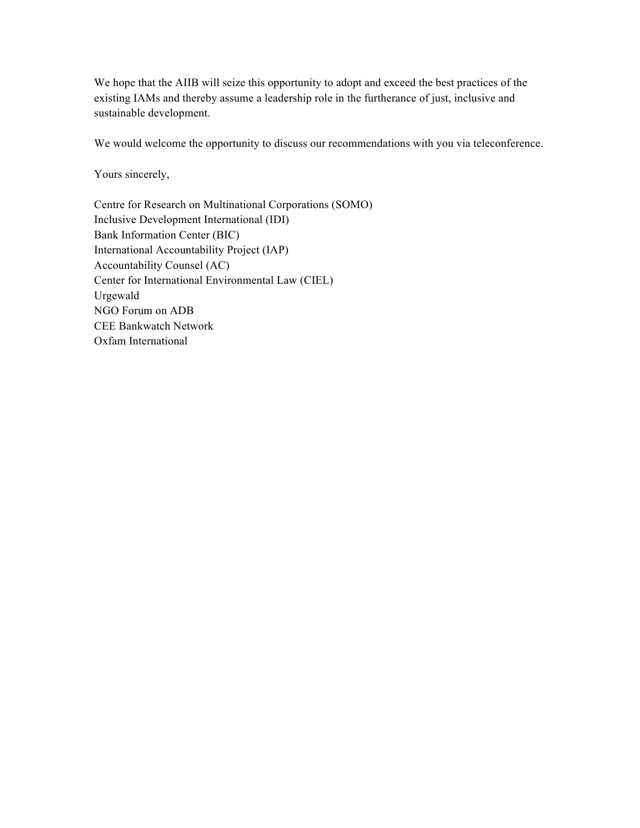We hope that the AIIB will seize this opportunity to adopt and exceed the best practices of the existing IAMs and thereby assume a leadership role in the furtherance of just, inclusive and sustainable development.

We would welcome the opportunity to discuss our recommendations with you via teleconference.

Yours sincerely,

Centre for Research on Multinational Corporations (SOMO) Inclusive Development International (IDI) Bank Information Center (BIC) International Accountability Project (IAP) Accountability Counsel (AC) Center for International Environmental Law (CIEL) Urgewald NGO Forum on ADB CEE Bankwatch Network Oxfam International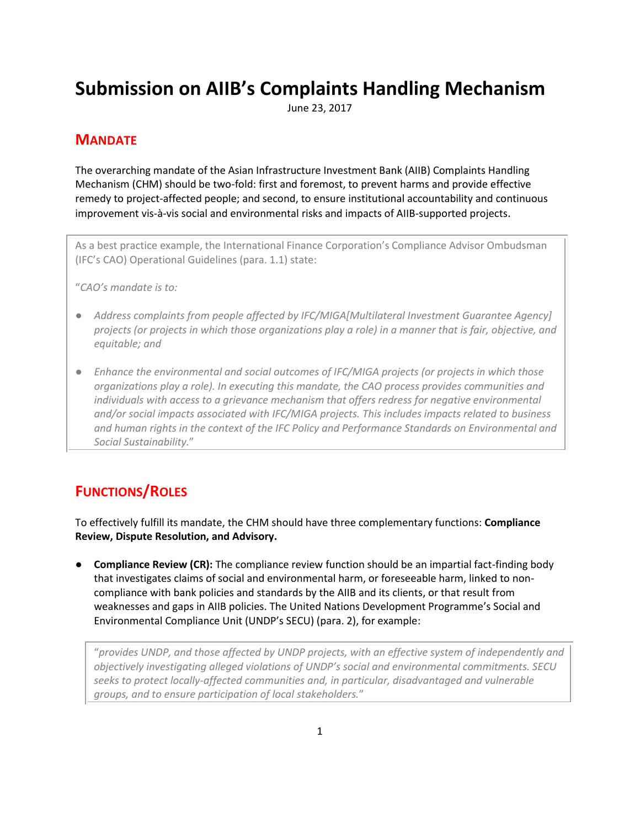# **Submission on AIIB's Complaints Handling Mechanism**

June 23, 2017

## **MANDATE**

The overarching mandate of the Asian Infrastructure Investment Bank (AIIB) Complaints Handling Mechanism (CHM) should be two-fold: first and foremost, to prevent harms and provide effective remedy to project-affected people; and second, to ensure institutional accountability and continuous improvement vis-à-vis social and environmental risks and impacts of AIIB-supported projects.

As a best practice example, the International Finance Corporation's Compliance Advisor Ombudsman (IFC's CAO) Operational Guidelines (para. 1.1) state:

"*CAO's mandate is to:*

- *Address complaints from people affected by IFC/MIGA[Multilateral Investment Guarantee Agency] projects (or projects in which those organizations play a role) in a manner that is fair, objective, and equitable; and*
- *Enhance the environmental and social outcomes of IFC/MIGA projects (or projects in which those organizations play a role). In executing this mandate, the CAO process provides communities and individuals with access to a grievance mechanism that offers redress for negative environmental and/or social impacts associated with IFC/MIGA projects. This includes impacts related to business and human rights in the context of the IFC Policy and Performance Standards on Environmental and Social Sustainability.*"

# **FUNCTIONS/ROLES**

To effectively fulfill its mandate, the CHM should have three complementary functions: **Compliance Review, Dispute Resolution, and Advisory.** 

**Compliance Review (CR):** The compliance review function should be an impartial fact-finding body that investigates claims of social and environmental harm, or foreseeable harm, linked to noncompliance with bank policies and standards by the AIIB and its clients, or that result from weaknesses and gaps in AIIB policies. The United Nations Development Programme's Social and Environmental Compliance Unit (UNDP's SECU) (para. 2), for example:

"*provides UNDP, and those affected by UNDP projects, with an effective system of independently and objectively investigating alleged violations of UNDP's social and environmental commitments. SECU seeks to protect locally-affected communities and, in particular, disadvantaged and vulnerable groups, and to ensure participation of local stakeholders.*"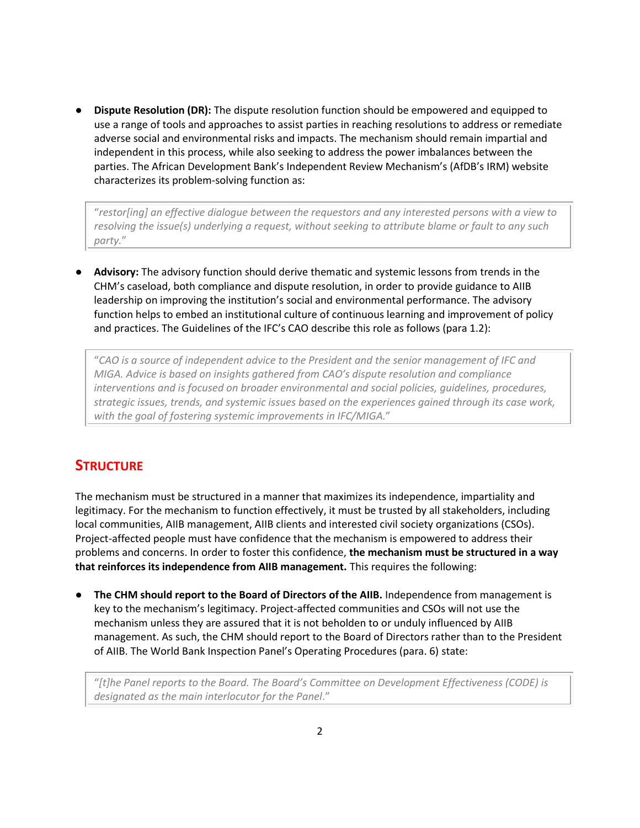● **Dispute Resolution (DR):** The dispute resolution function should be empowered and equipped to use a range of tools and approaches to assist parties in reaching resolutions to address or remediate adverse social and environmental risks and impacts. The mechanism should remain impartial and independent in this process, while also seeking to address the power imbalances between the parties. The African Development Bank's Independent Review Mechanism's (AfDB's IRM) website characterizes its problem-solving function as:

"*restor[ing] an effective dialogue between the requestors and any interested persons with a view to resolving the issue(s) underlying a request, without seeking to attribute blame or fault to any such party.*"

● **Advisory:** The advisory function should derive thematic and systemic lessons from trends in the CHM's caseload, both compliance and dispute resolution, in order to provide guidance to AIIB leadership on improving the institution's social and environmental performance. The advisory function helps to embed an institutional culture of continuous learning and improvement of policy and practices. The Guidelines of the IFC's CAO describe this role as follows (para 1.2):

"*CAO is a source of independent advice to the President and the senior management of IFC and MIGA. Advice is based on insights gathered from CAO's dispute resolution and compliance interventions and is focused on broader environmental and social policies, guidelines, procedures, strategic issues, trends, and systemic issues based on the experiences gained through its case work, with the goal of fostering systemic improvements in IFC/MIGA.*"

## **STRUCTURE**

The mechanism must be structured in a manner that maximizes its independence, impartiality and legitimacy. For the mechanism to function effectively, it must be trusted by all stakeholders, including local communities, AIIB management, AIIB clients and interested civil society organizations (CSOs). Project-affected people must have confidence that the mechanism is empowered to address their problems and concerns. In order to foster this confidence, **the mechanism must be structured in a way that reinforces its independence from AIIB management.** This requires the following:

● **The CHM should report to the Board of Directors of the AIIB.** Independence from management is key to the mechanism's legitimacy. Project-affected communities and CSOs will not use the mechanism unless they are assured that it is not beholden to or unduly influenced by AIIB management. As such, the CHM should report to the Board of Directors rather than to the President of AIIB. The World Bank Inspection Panel's Operating Procedures (para. 6) state:

"*[t]he Panel reports to the Board. The Board's Committee on Development Effectiveness (CODE) is designated as the main interlocutor for the Panel*."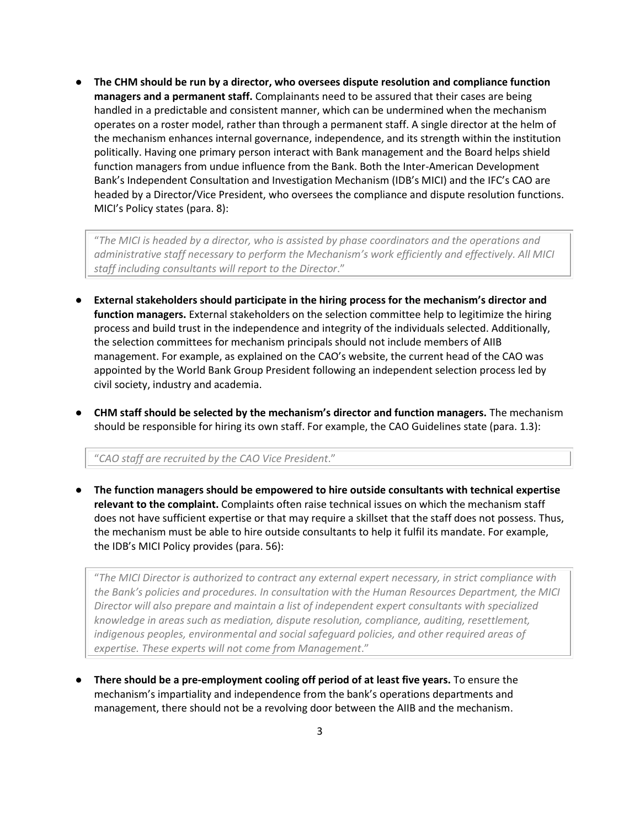● **The CHM should be run by a director, who oversees dispute resolution and compliance function managers and a permanent staff.** Complainants need to be assured that their cases are being handled in a predictable and consistent manner, which can be undermined when the mechanism operates on a roster model, rather than through a permanent staff. A single director at the helm of the mechanism enhances internal governance, independence, and its strength within the institution politically. Having one primary person interact with Bank management and the Board helps shield function managers from undue influence from the Bank. Both the Inter-American Development Bank's Independent Consultation and Investigation Mechanism (IDB's MICI) and the IFC's CAO are headed by a Director/Vice President, who oversees the compliance and dispute resolution functions. MICI's Policy states (para. 8):

"*The MICI is headed by a director, who is assisted by phase coordinators and the operations and administrative staff necessary to perform the Mechanism's work efficiently and effectively. All MICI staff including consultants will report to the Director*."

- **External stakeholders should participate in the hiring process for the mechanism's director and function managers.** External stakeholders on the selection committee help to legitimize the hiring process and build trust in the independence and integrity of the individuals selected. Additionally, the selection committees for mechanism principals should not include members of AIIB management. For example, as explained on the CAO's website, the current head of the CAO was appointed by the World Bank Group President following an independent selection process led by civil society, industry and academia.
- **CHM staff should be selected by the mechanism's director and function managers.** The mechanism should be responsible for hiring its own staff. For example, the CAO Guidelines state (para. 1.3):

"*CAO staff are recruited by the CAO Vice President*."

● **The function managers should be empowered to hire outside consultants with technical expertise relevant to the complaint.** Complaints often raise technical issues on which the mechanism staff does not have sufficient expertise or that may require a skillset that the staff does not possess. Thus, the mechanism must be able to hire outside consultants to help it fulfil its mandate. For example, the IDB's MICI Policy provides (para. 56):

"*The MICI Director is authorized to contract any external expert necessary, in strict compliance with the Bank's policies and procedures. In consultation with the Human Resources Department, the MICI Director will also prepare and maintain a list of independent expert consultants with specialized knowledge in areas such as mediation, dispute resolution, compliance, auditing, resettlement, indigenous peoples, environmental and social safeguard policies, and other required areas of expertise. These experts will not come from Management*."

**There should be a pre-employment cooling off period of at least five years.** To ensure the mechanism's impartiality and independence from the bank's operations departments and management, there should not be a revolving door between the AIIB and the mechanism.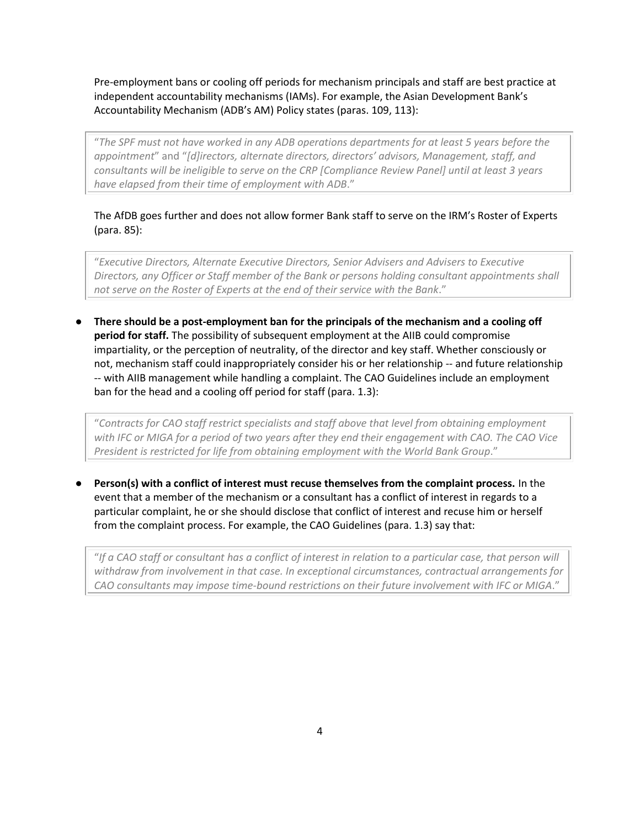Pre-employment bans or cooling off periods for mechanism principals and staff are best practice at independent accountability mechanisms (IAMs). For example, the Asian Development Bank's Accountability Mechanism (ADB's AM) Policy states (paras. 109, 113):

"*The SPF must not have worked in any ADB operations departments for at least 5 years before the appointment*" and "*[d]irectors, alternate directors, directors' advisors, Management, staff, and consultants will be ineligible to serve on the CRP [Compliance Review Panel] until at least 3 years have elapsed from their time of employment with ADB*."

The AfDB goes further and does not allow former Bank staff to serve on the IRM's Roster of Experts (para. 85):

"*Executive Directors, Alternate Executive Directors, Senior Advisers and Advisers to Executive Directors, any Officer or Staff member of the Bank or persons holding consultant appointments shall not serve on the Roster of Experts at the end of their service with the Bank*."

● **There should be a post-employment ban for the principals of the mechanism and a cooling off period for staff.** The possibility of subsequent employment at the AIIB could compromise impartiality, or the perception of neutrality, of the director and key staff. Whether consciously or not, mechanism staff could inappropriately consider his or her relationship -- and future relationship -- with AIIB management while handling a complaint. The CAO Guidelines include an employment ban for the head and a cooling off period for staff (para. 1.3):

"*Contracts for CAO staff restrict specialists and staff above that level from obtaining employment with IFC or MIGA for a period of two years after they end their engagement with CAO. The CAO Vice President is restricted for life from obtaining employment with the World Bank Group*."

Person(s) with a conflict of interest must recuse themselves from the complaint process. In the event that a member of the mechanism or a consultant has a conflict of interest in regards to a particular complaint, he or she should disclose that conflict of interest and recuse him or herself from the complaint process. For example, the CAO Guidelines (para. 1.3) say that:

"*If a CAO staff or consultant has a conflict of interest in relation to a particular case, that person will withdraw from involvement in that case. In exceptional circumstances, contractual arrangements for CAO consultants may impose time-bound restrictions on their future involvement with IFC or MIGA*."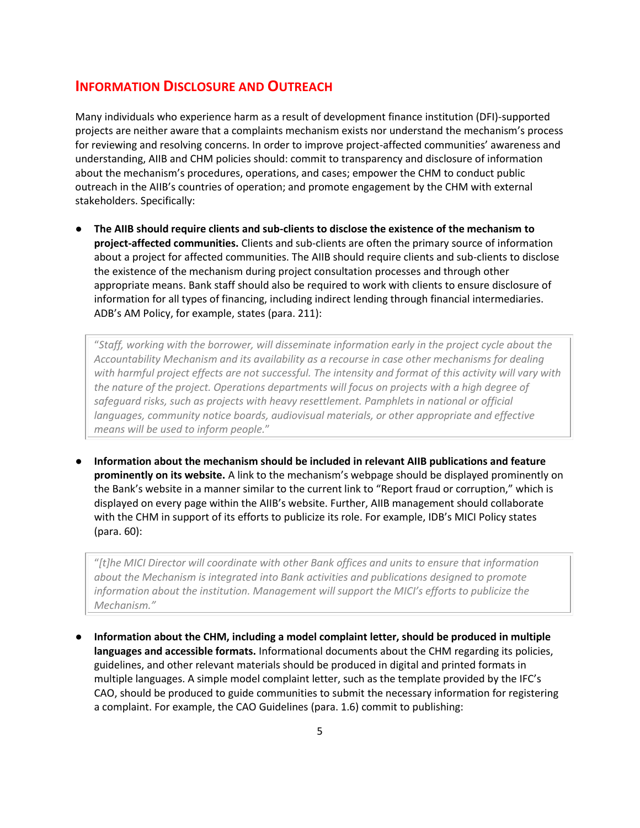#### **INFORMATION DISCLOSURE AND OUTREACH**

Many individuals who experience harm as a result of development finance institution (DFI)-supported projects are neither aware that a complaints mechanism exists nor understand the mechanism's process for reviewing and resolving concerns. In order to improve project-affected communities' awareness and understanding, AIIB and CHM policies should: commit to transparency and disclosure of information about the mechanism's procedures, operations, and cases; empower the CHM to conduct public outreach in the AIIB's countries of operation; and promote engagement by the CHM with external stakeholders. Specifically:

● **The AIIB should require clients and sub-clients to disclose the existence of the mechanism to project-affected communities.** Clients and sub-clients are often the primary source of information about a project for affected communities. The AIIB should require clients and sub-clients to disclose the existence of the mechanism during project consultation processes and through other appropriate means. Bank staff should also be required to work with clients to ensure disclosure of information for all types of financing, including indirect lending through financial intermediaries. ADB's AM Policy, for example, states (para. 211):

"*Staff, working with the borrower, will disseminate information early in the project cycle about the Accountability Mechanism and its availability as a recourse in case other mechanisms for dealing with harmful project effects are not successful. The intensity and format of this activity will vary with the nature of the project. Operations departments will focus on projects with a high degree of*  safeguard risks, such as projects with heavy resettlement. Pamphlets in national or official languages, community notice boards, audiovisual materials, or other appropriate and effective *means will be used to inform people.*"

● **Information about the mechanism should be included in relevant AIIB publications and feature prominently on its website.** A link to the mechanism's webpage should be displayed prominently on the Bank's website in a manner similar to the current link to "Report fraud or corruption," which is displayed on every page within the AIIB's website. Further, AIIB management should collaborate with the CHM in support of its efforts to publicize its role. For example, IDB's MICI Policy states (para. 60):

"*[t]he MICI Director will coordinate with other Bank offices and units to ensure that information about the Mechanism is integrated into Bank activities and publications designed to promote information about the institution. Management will support the MICI's efforts to publicize the Mechanism."*

● **Information about the CHM, including a model complaint letter, should be produced in multiple languages and accessible formats.** Informational documents about the CHM regarding its policies, guidelines, and other relevant materials should be produced in digital and printed formats in multiple languages. A simple model complaint letter, such as the template provided by the IFC's CAO, should be produced to guide communities to submit the necessary information for registering a complaint. For example, the CAO Guidelines (para. 1.6) commit to publishing: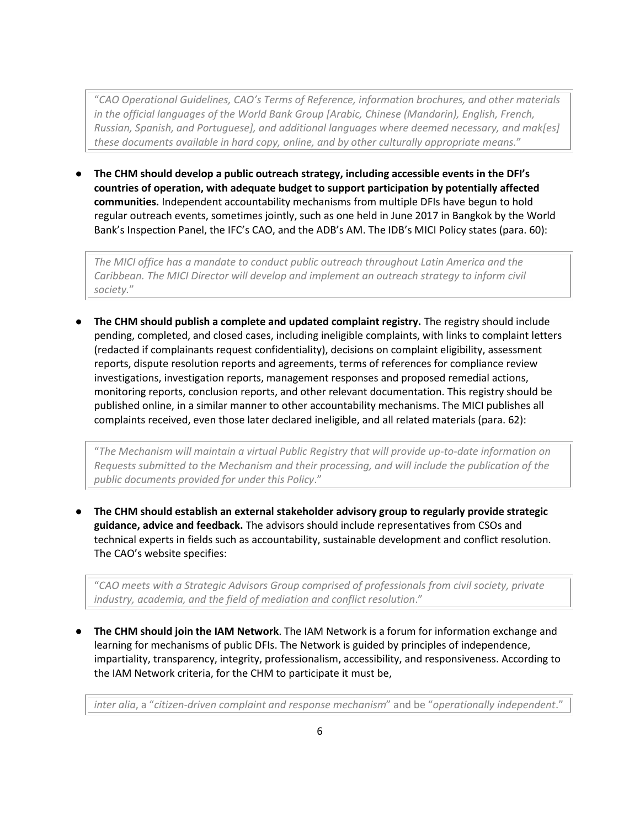"*CAO Operational Guidelines, CAO's Terms of Reference, information brochures, and other materials in the official languages of the World Bank Group [Arabic, Chinese (Mandarin), English, French, Russian, Spanish, and Portuguese], and additional languages where deemed necessary, and mak[es] these documents available in hard copy, online, and by other culturally appropriate means.*"

● **The CHM should develop a public outreach strategy, including accessible events in the DFI's countries of operation, with adequate budget to support participation by potentially affected communities.** Independent accountability mechanisms from multiple DFIs have begun to hold regular outreach events, sometimes jointly, such as one held in June 2017 in Bangkok by the World Bank's Inspection Panel, the IFC's CAO, and the ADB's AM. The IDB's MICI Policy states (para. 60):

*The MICI office has a mandate to conduct public outreach throughout Latin America and the*  Caribbean. The MICI Director will develop and implement an outreach strategy to inform civil *society.*"

● **The CHM should publish a complete and updated complaint registry.** The registry should include pending, completed, and closed cases, including ineligible complaints, with links to complaint letters (redacted if complainants request confidentiality), decisions on complaint eligibility, assessment reports, dispute resolution reports and agreements, terms of references for compliance review investigations, investigation reports, management responses and proposed remedial actions, monitoring reports, conclusion reports, and other relevant documentation. This registry should be published online, in a similar manner to other accountability mechanisms. The MICI publishes all complaints received, even those later declared ineligible, and all related materials (para. 62):

"*The Mechanism will maintain a virtual Public Registry that will provide up-to-date information on Requests submitted to the Mechanism and their processing, and will include the publication of the public documents provided for under this Policy*."

● **The CHM should establish an external stakeholder advisory group to regularly provide strategic guidance, advice and feedback.** The advisors should include representatives from CSOs and technical experts in fields such as accountability, sustainable development and conflict resolution. The CAO's website specifies:

"*CAO meets with a Strategic Advisors Group comprised of professionals from civil society, private industry, academia, and the field of mediation and conflict resolution*."

● **The CHM should join the IAM Network**. The IAM Network is a forum for information exchange and learning for mechanisms of public DFIs. The Network is guided by principles of independence, impartiality, transparency, integrity, professionalism, accessibility, and responsiveness. According to the IAM Network criteria, for the CHM to participate it must be,

*inter alia*, a "*citizen‐driven complaint and response mechanism*" and be "*operationally independent*."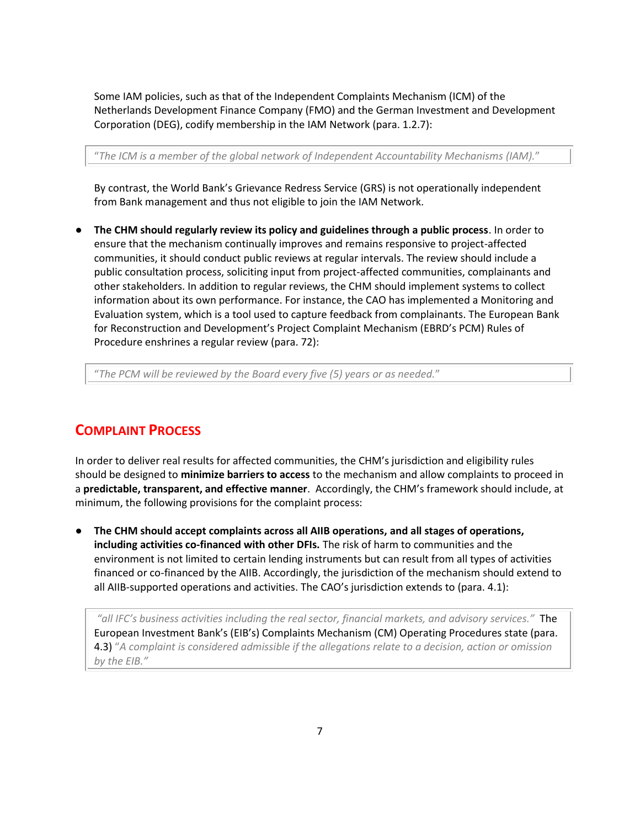Some IAM policies, such as that of the Independent Complaints Mechanism (ICM) of the Netherlands Development Finance Company (FMO) and the German Investment and Development Corporation (DEG), codify membership in the IAM Network (para. 1.2.7):

"*The ICM is a member of the global network of Independent Accountability Mechanisms (IAM).*"

By contrast, the World Bank's Grievance Redress Service (GRS) is not operationally independent from Bank management and thus not eligible to join the IAM Network.

● **The CHM should regularly review its policy and guidelines through a public process**. In order to ensure that the mechanism continually improves and remains responsive to project-affected communities, it should conduct public reviews at regular intervals. The review should include a public consultation process, soliciting input from project-affected communities, complainants and other stakeholders. In addition to regular reviews, the CHM should implement systems to collect information about its own performance. For instance, the CAO has implemented a Monitoring and Evaluation system, which is a tool used to capture feedback from complainants. The European Bank for Reconstruction and Development's Project Complaint Mechanism (EBRD's PCM) Rules of Procedure enshrines a regular review (para. 72):

"*The PCM will be reviewed by the Board every five (5) years or as needed.*"

#### **COMPLAINT PROCESS**

In order to deliver real results for affected communities, the CHM's jurisdiction and eligibility rules should be designed to **minimize barriers to access** to the mechanism and allow complaints to proceed in a **predictable, transparent, and effective manner**. Accordingly, the CHM's framework should include, at minimum, the following provisions for the complaint process:

● **The CHM should accept complaints across all AIIB operations, and all stages of operations, including activities co-financed with other DFIs.** The risk of harm to communities and the environment is not limited to certain lending instruments but can result from all types of activities financed or co-financed by the AIIB. Accordingly, the jurisdiction of the mechanism should extend to all AIIB-supported operations and activities. The CAO's jurisdiction extends to (para. 4.1):

*"all IFC's business activities including the real sector, financial markets, and advisory services."* The European Investment Bank's (EIB's) Complaints Mechanism (CM) Operating Procedures state (para. 4.3) "*A complaint is considered admissible if the allegations relate to a decision, action or omission by the EIB."*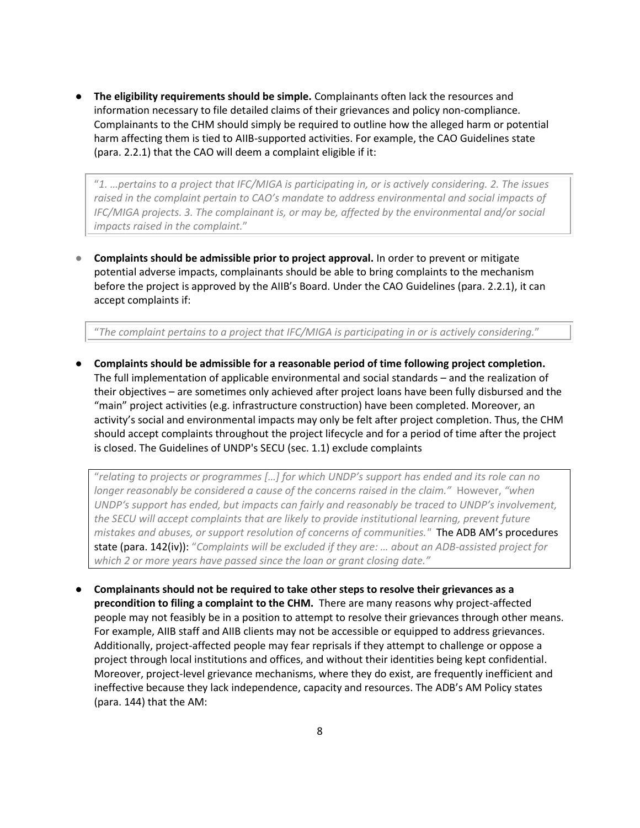● **The eligibility requirements should be simple.** Complainants often lack the resources and information necessary to file detailed claims of their grievances and policy non-compliance. Complainants to the CHM should simply be required to outline how the alleged harm or potential harm affecting them is tied to AIIB-supported activities. For example, the CAO Guidelines state (para. 2.2.1) that the CAO will deem a complaint eligible if it:

"*1. …pertains to a project that IFC/MIGA is participating in, or is actively considering. 2. The issues*  raised in the complaint pertain to CAO's mandate to address environmental and social impacts of *IFC/MIGA projects. 3. The complainant is, or may be, affected by the environmental and/or social impacts raised in the complaint.*"

**Complaints should be admissible prior to project approval.** In order to prevent or mitigate potential adverse impacts, complainants should be able to bring complaints to the mechanism before the project is approved by the AIIB's Board. Under the CAO Guidelines (para. 2.2.1), it can accept complaints if:

"*The complaint pertains to a project that IFC/MIGA is participating in or is actively considering.*"

● **Complaints should be admissible for a reasonable period of time following project completion.**  The full implementation of applicable environmental and social standards – and the realization of their objectives – are sometimes only achieved after project loans have been fully disbursed and the "main" project activities (e.g. infrastructure construction) have been completed. Moreover, an activity's social and environmental impacts may only be felt after project completion. Thus, the CHM should accept complaints throughout the project lifecycle and for a period of time after the project is closed. The Guidelines of UNDP's SECU (sec. 1.1) exclude complaints

"*relating to projects or programmes […] for which UNDP's support has ended and its role can no longer reasonably be considered a cause of the concerns raised in the claim."* However, *"when UNDP's support has ended, but impacts can fairly and reasonably be traced to UNDP's involvement, the SECU will accept complaints that are likely to provide institutional learning, prevent future mistakes and abuses, or support resolution of concerns of communities."* The ADB AM's procedures state (para. 142(iv)): "*Complaints will be excluded if they are: … about an ADB-assisted project for which 2 or more years have passed since the loan or grant closing date."* 

● **Complainants should not be required to take other steps to resolve their grievances as a precondition to filing a complaint to the CHM.** There are many reasons why project-affected people may not feasibly be in a position to attempt to resolve their grievances through other means. For example, AIIB staff and AIIB clients may not be accessible or equipped to address grievances. Additionally, project-affected people may fear reprisals if they attempt to challenge or oppose a project through local institutions and offices, and without their identities being kept confidential. Moreover, project-level grievance mechanisms, where they do exist, are frequently inefficient and ineffective because they lack independence, capacity and resources. The ADB's AM Policy states (para. 144) that the AM: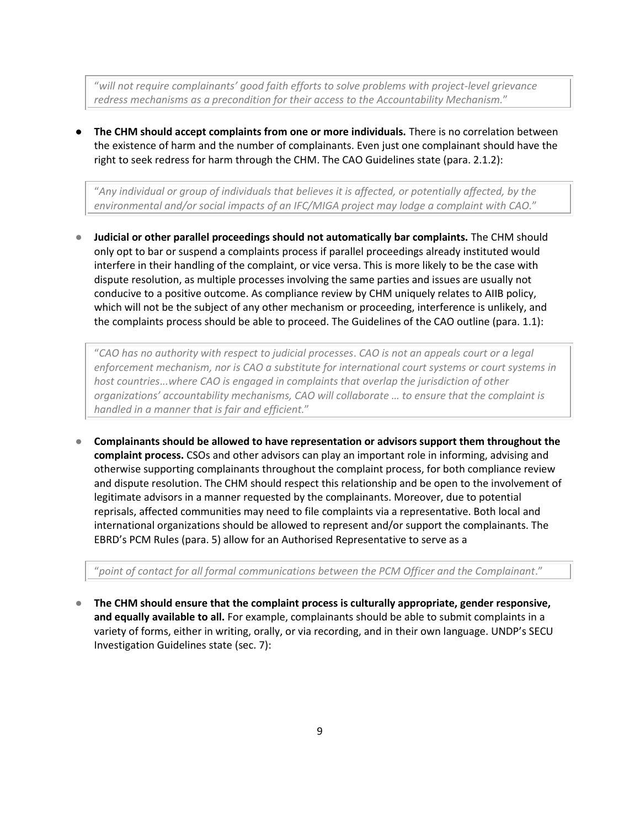"*will not require complainants' good faith efforts to solve problems with project-level grievance redress mechanisms as a precondition for their access to the Accountability Mechanism.*"

● **The CHM should accept complaints from one or more individuals.** There is no correlation between the existence of harm and the number of complainants. Even just one complainant should have the right to seek redress for harm through the CHM. The CAO Guidelines state (para. 2.1.2):

"*Any individual or group of individuals that believes it is affected, or potentially affected, by the environmental and/or social impacts of an IFC/MIGA project may lodge a complaint with CAO.*"

● **Judicial or other parallel proceedings should not automatically bar complaints.** The CHM should only opt to bar or suspend a complaints process if parallel proceedings already instituted would interfere in their handling of the complaint, or vice versa. This is more likely to be the case with dispute resolution, as multiple processes involving the same parties and issues are usually not conducive to a positive outcome. As compliance review by CHM uniquely relates to AIIB policy, which will not be the subject of any other mechanism or proceeding, interference is unlikely, and the complaints process should be able to proceed. The Guidelines of the CAO outline (para. 1.1):

"*CAO has no authority with respect to judicial processes*. *CAO is not an appeals court or a legal enforcement mechanism, nor is CAO a substitute for international court systems or court systems in host countries*.*..where CAO is engaged in complaints that overlap the jurisdiction of other organizations' accountability mechanisms, CAO will collaborate … to ensure that the complaint is handled in a manner that is fair and efficient.*"

● **Complainants should be allowed to have representation or advisors support them throughout the complaint process.** CSOs and other advisors can play an important role in informing, advising and otherwise supporting complainants throughout the complaint process, for both compliance review and dispute resolution. The CHM should respect this relationship and be open to the involvement of legitimate advisors in a manner requested by the complainants. Moreover, due to potential reprisals, affected communities may need to file complaints via a representative. Both local and international organizations should be allowed to represent and/or support the complainants. The EBRD's PCM Rules (para. 5) allow for an Authorised Representative to serve as a

"*point of contact for all formal communications between the PCM Officer and the Complainant*."

The CHM should ensure that the complaint process is culturally appropriate, gender responsive, **and equally available to all.** For example, complainants should be able to submit complaints in a variety of forms, either in writing, orally, or via recording, and in their own language. UNDP's SECU Investigation Guidelines state (sec. 7):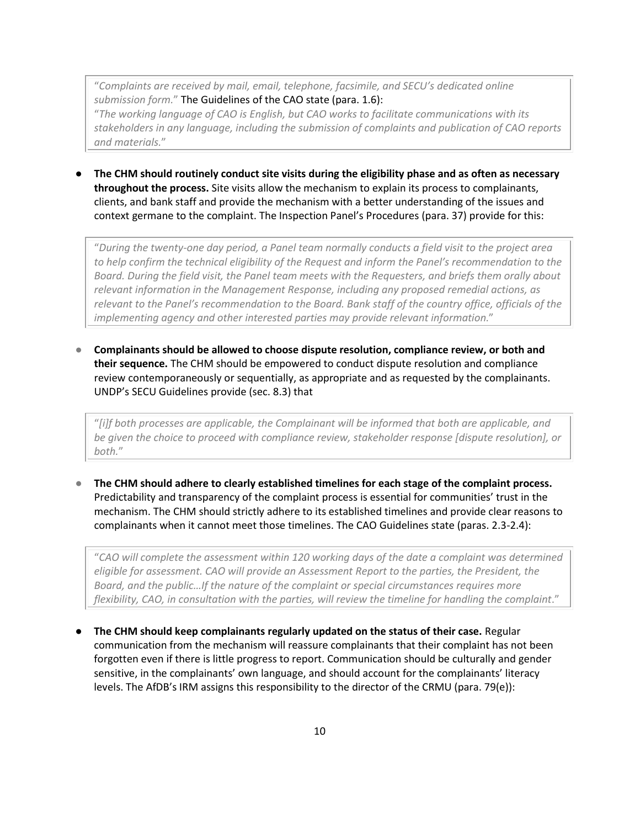"*Complaints are received by mail, email, telephone, facsimile, and SECU's dedicated online submission form.*" The Guidelines of the CAO state (para. 1.6): "*The working language of CAO is English, but CAO works to facilitate communications with its stakeholders in any language, including the submission of complaints and publication of CAO reports and materials.*"

● **The CHM should routinely conduct site visits during the eligibility phase and as often as necessary throughout the process.** Site visits allow the mechanism to explain its process to complainants, clients, and bank staff and provide the mechanism with a better understanding of the issues and context germane to the complaint. The Inspection Panel's Procedures (para. 37) provide for this:

"*During the twenty-one day period, a Panel team normally conducts a field visit to the project area to help confirm the technical eligibility of the Request and inform the Panel's recommendation to the Board. During the field visit, the Panel team meets with the Requesters, and briefs them orally about relevant information in the Management Response, including any proposed remedial actions, as relevant to the Panel's recommendation to the Board. Bank staff of the country office, officials of the implementing agency and other interested parties may provide relevant information*."

● **Complainants should be allowed to choose dispute resolution, compliance review, or both and their sequence.** The CHM should be empowered to conduct dispute resolution and compliance review contemporaneously or sequentially, as appropriate and as requested by the complainants. UNDP's SECU Guidelines provide (sec. 8.3) that

"*[i]f both processes are applicable, the Complainant will be informed that both are applicable, and be given the choice to proceed with compliance review, stakeholder response [dispute resolution], or both.*"

The CHM should adhere to clearly established timelines for each stage of the complaint process. Predictability and transparency of the complaint process is essential for communities' trust in the mechanism. The CHM should strictly adhere to its established timelines and provide clear reasons to complainants when it cannot meet those timelines. The CAO Guidelines state (paras. 2.3-2.4):

"*CAO will complete the assessment within 120 working days of the date a complaint was determined eligible for assessment. CAO will provide an Assessment Report to the parties, the President, the Board, and the public…If the nature of the complaint or special circumstances requires more flexibility, CAO, in consultation with the parties, will review the timeline for handling the complaint*."

● **The CHM should keep complainants regularly updated on the status of their case.** Regular communication from the mechanism will reassure complainants that their complaint has not been forgotten even if there is little progress to report. Communication should be culturally and gender sensitive, in the complainants' own language, and should account for the complainants' literacy levels. The AfDB's IRM assigns this responsibility to the director of the CRMU (para. 79(e)):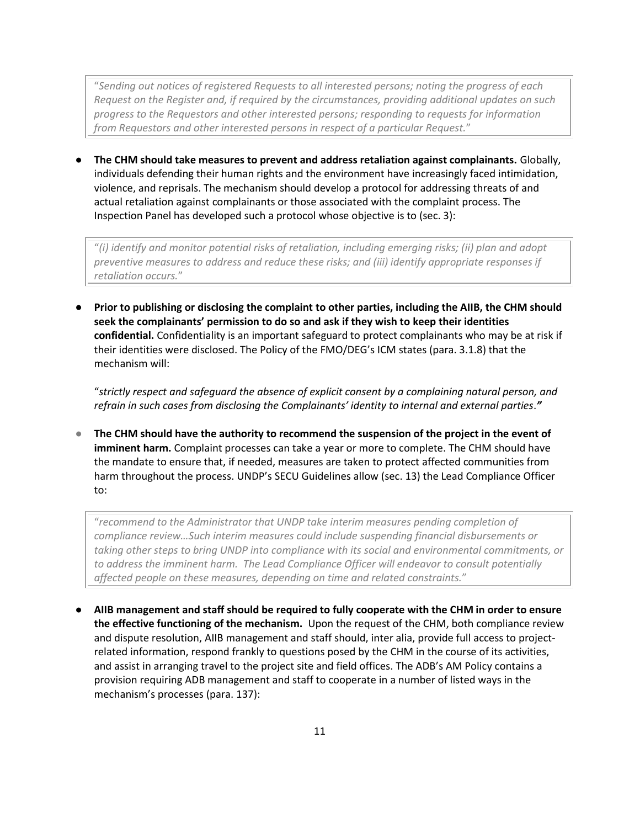"*Sending out notices of registered Requests to all interested persons; noting the progress of each Request on the Register and, if required by the circumstances, providing additional updates on such progress to the Requestors and other interested persons; responding to requests for information from Requestors and other interested persons in respect of a particular Request.*"

● **The CHM should take measures to prevent and address retaliation against complainants.** Globally, individuals defending their human rights and the environment have increasingly faced intimidation, violence, and reprisals. The mechanism should develop a protocol for addressing threats of and actual retaliation against complainants or those associated with the complaint process. The Inspection Panel has developed such a protocol whose objective is to (sec. 3):

"*(i) identify and monitor potential risks of retaliation, including emerging risks; (ii) plan and adopt preventive measures to address and reduce these risks; and (iii) identify appropriate responses if retaliation occurs.*"

● **Prior to publishing or disclosing the complaint to other parties, including the AIIB, the CHM should seek the complainants' permission to do so and ask if they wish to keep their identities confidential.** Confidentiality is an important safeguard to protect complainants who may be at risk if their identities were disclosed. The Policy of the FMO/DEG's ICM states (para. 3.1.8) that the mechanism will:

"*strictly respect and safeguard the absence of explicit consent by a complaining natural person, and refrain in such cases from disclosing the Complainants' identity to internal and external parties*.*"*

● The CHM should have the authority to recommend the suspension of the project in the event of **imminent harm.** Complaint processes can take a year or more to complete. The CHM should have the mandate to ensure that, if needed, measures are taken to protect affected communities from harm throughout the process. UNDP's SECU Guidelines allow (sec. 13) the Lead Compliance Officer to:

"*recommend to the Administrator that UNDP take interim measures pending completion of compliance review…Such interim measures could include suspending financial disbursements or taking other steps to bring UNDP into compliance with its social and environmental commitments, or to address the imminent harm. The Lead Compliance Officer will endeavor to consult potentially affected people on these measures, depending on time and related constraints.*"

● **AIIB management and staff should be required to fully cooperate with the CHM in order to ensure the effective functioning of the mechanism.** Upon the request of the CHM, both compliance review and dispute resolution, AIIB management and staff should, inter alia, provide full access to projectrelated information, respond frankly to questions posed by the CHM in the course of its activities, and assist in arranging travel to the project site and field offices. The ADB's AM Policy contains a provision requiring ADB management and staff to cooperate in a number of listed ways in the mechanism's processes (para. 137):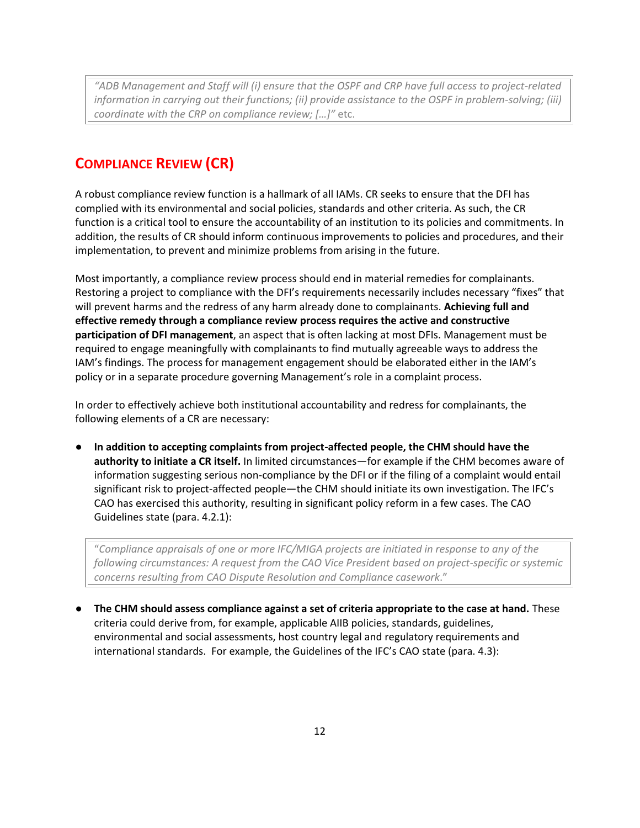*"ADB Management and Staff will (i) ensure that the OSPF and CRP have full access to project-related information in carrying out their functions; (ii) provide assistance to the OSPF in problem-solving; (iii) coordinate with the CRP on compliance review; […]"* etc.

## **COMPLIANCE REVIEW (CR)**

A robust compliance review function is a hallmark of all IAMs. CR seeks to ensure that the DFI has complied with its environmental and social policies, standards and other criteria. As such, the CR function is a critical tool to ensure the accountability of an institution to its policies and commitments. In addition, the results of CR should inform continuous improvements to policies and procedures, and their implementation, to prevent and minimize problems from arising in the future.

Most importantly, a compliance review process should end in material remedies for complainants. Restoring a project to compliance with the DFI's requirements necessarily includes necessary "fixes" that will prevent harms and the redress of any harm already done to complainants. **Achieving full and effective remedy through a compliance review process requires the active and constructive participation of DFI management**, an aspect that is often lacking at most DFIs. Management must be required to engage meaningfully with complainants to find mutually agreeable ways to address the IAM's findings. The process for management engagement should be elaborated either in the IAM's policy or in a separate procedure governing Management's role in a complaint process.

In order to effectively achieve both institutional accountability and redress for complainants, the following elements of a CR are necessary:

● **In addition to accepting complaints from project-affected people, the CHM should have the authority to initiate a CR itself.** In limited circumstances—for example if the CHM becomes aware of information suggesting serious non-compliance by the DFI or if the filing of a complaint would entail significant risk to project-affected people—the CHM should initiate its own investigation. The IFC's CAO has exercised this authority, resulting in significant policy reform in a few cases. The CAO Guidelines state (para. 4.2.1):

"*Compliance appraisals of one or more IFC/MIGA projects are initiated in response to any of the following circumstances: A request from the CAO Vice President based on project-specific or systemic concerns resulting from CAO Dispute Resolution and Compliance casework*."

● **The CHM should assess compliance against a set of criteria appropriate to the case at hand.** These criteria could derive from, for example, applicable AIIB policies, standards, guidelines, environmental and social assessments, host country legal and regulatory requirements and international standards. For example, the Guidelines of the IFC's CAO state (para. 4.3):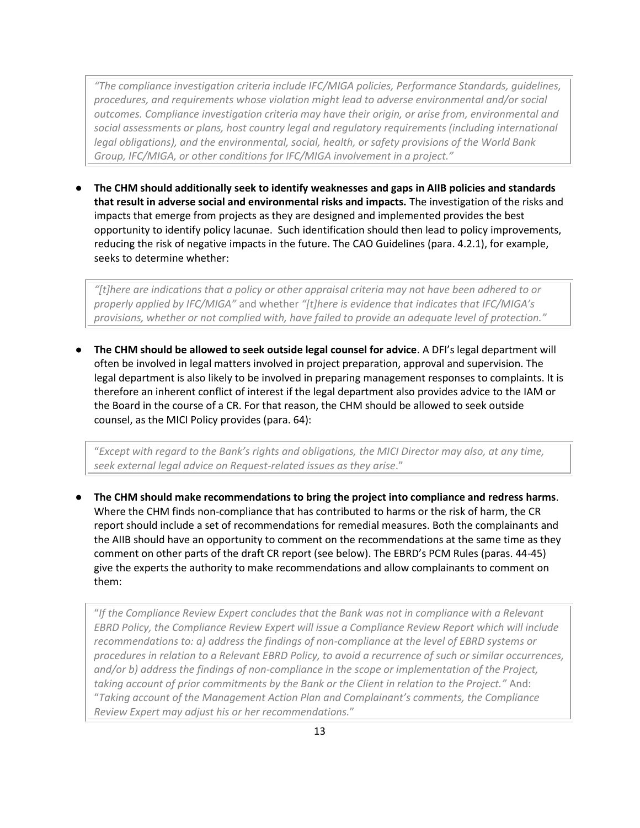*"The compliance investigation criteria include IFC/MIGA policies, Performance Standards, guidelines, procedures, and requirements whose violation might lead to adverse environmental and/or social outcomes. Compliance investigation criteria may have their origin, or arise from, environmental and social assessments or plans, host country legal and regulatory requirements (including international legal obligations), and the environmental, social, health, or safety provisions of the World Bank Group, IFC/MIGA, or other conditions for IFC/MIGA involvement in a project."*

● **The CHM should additionally seek to identify weaknesses and gaps in AIIB policies and standards that result in adverse social and environmental risks and impacts.** The investigation of the risks and impacts that emerge from projects as they are designed and implemented provides the best opportunity to identify policy lacunae. Such identification should then lead to policy improvements, reducing the risk of negative impacts in the future. The CAO Guidelines (para. 4.2.1), for example, seeks to determine whether:

*"[t]here are indications that a policy or other appraisal criteria may not have been adhered to or properly applied by IFC/MIGA"* and whether *"[t]here is evidence that indicates that IFC/MIGA's provisions, whether or not complied with, have failed to provide an adequate level of protection."*

● **The CHM should be allowed to seek outside legal counsel for advice**. A DFI's legal department will often be involved in legal matters involved in project preparation, approval and supervision. The legal department is also likely to be involved in preparing management responses to complaints. It is therefore an inherent conflict of interest if the legal department also provides advice to the IAM or the Board in the course of a CR. For that reason, the CHM should be allowed to seek outside counsel, as the MICI Policy provides (para. 64):

"*Except with regard to the Bank's rights and obligations, the MICI Director may also, at any time, seek external legal advice on Request-related issues as they arise*."

● **The CHM should make recommendations to bring the project into compliance and redress harms**. Where the CHM finds non-compliance that has contributed to harms or the risk of harm, the CR report should include a set of recommendations for remedial measures. Both the complainants and the AIIB should have an opportunity to comment on the recommendations at the same time as they comment on other parts of the draft CR report (see below). The EBRD's PCM Rules (paras. 44-45) give the experts the authority to make recommendations and allow complainants to comment on them:

"*If the Compliance Review Expert concludes that the Bank was not in compliance with a Relevant EBRD Policy, the Compliance Review Expert will issue a Compliance Review Report which will include recommendations to: a) address the findings of non-compliance at the level of EBRD systems or procedures in relation to a Relevant EBRD Policy, to avoid a recurrence of such or similar occurrences, and/or b) address the findings of non-compliance in the scope or implementation of the Project, taking account of prior commitments by the Bank or the Client in relation to the Project."* And: "*Taking account of the Management Action Plan and Complainant's comments, the Compliance Review Expert may adjust his or her recommendations.*"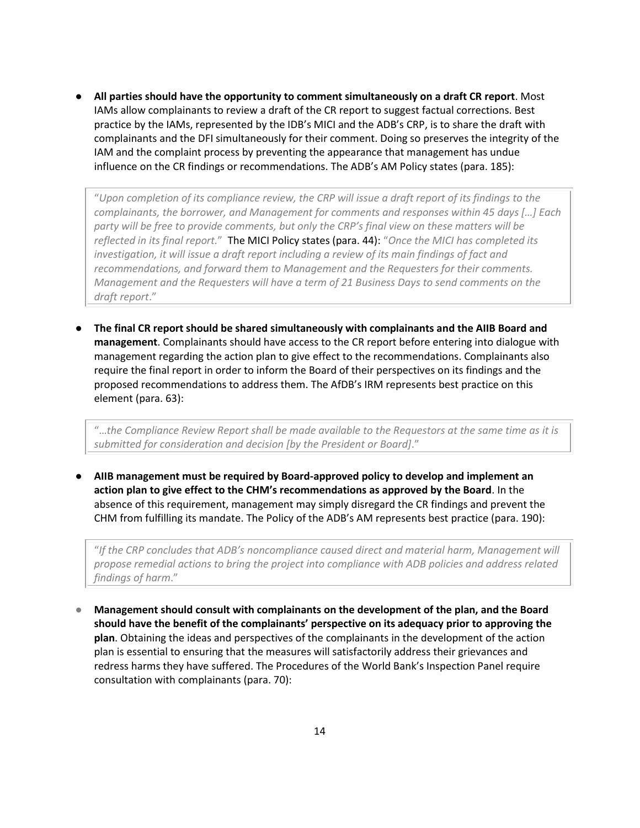● **All parties should have the opportunity to comment simultaneously on a draft CR report**. Most IAMs allow complainants to review a draft of the CR report to suggest factual corrections. Best practice by the IAMs, represented by the IDB's MICI and the ADB's CRP, is to share the draft with complainants and the DFI simultaneously for their comment. Doing so preserves the integrity of the IAM and the complaint process by preventing the appearance that management has undue influence on the CR findings or recommendations. The ADB's AM Policy states (para. 185):

"*Upon completion of its compliance review, the CRP will issue a draft report of its findings to the complainants, the borrower, and Management for comments and responses within 45 days […] Each party will be free to provide comments, but only the CRP's final view on these matters will be reflected in its final report.*" The MICI Policy states (para. 44): "*Once the MICI has completed its*  investigation, it will issue a draft report including a review of its main findings of fact and *recommendations, and forward them to Management and the Requesters for their comments. Management and the Requesters will have a term of 21 Business Days to send comments on the draft report*."

● **The final CR report should be shared simultaneously with complainants and the AIIB Board and management**. Complainants should have access to the CR report before entering into dialogue with management regarding the action plan to give effect to the recommendations. Complainants also require the final report in order to inform the Board of their perspectives on its findings and the proposed recommendations to address them. The AfDB's IRM represents best practice on this element (para. 63):

"…*the Compliance Review Report shall be made available to the Requestors at the same time as it is submitted for consideration and decision [by the President or Board]*."

● **AIIB management must be required by Board-approved policy to develop and implement an action plan to give effect to the CHM's recommendations as approved by the Board**. In the absence of this requirement, management may simply disregard the CR findings and prevent the CHM from fulfilling its mandate. The Policy of the ADB's AM represents best practice (para. 190):

"*If the CRP concludes that ADB's noncompliance caused direct and material harm, Management will propose remedial actions to bring the project into compliance with ADB policies and address related findings of harm*."

● **Management should consult with complainants on the development of the plan, and the Board should have the benefit of the complainants' perspective on its adequacy prior to approving the plan**. Obtaining the ideas and perspectives of the complainants in the development of the action plan is essential to ensuring that the measures will satisfactorily address their grievances and redress harms they have suffered. The Procedures of the World Bank's Inspection Panel require consultation with complainants (para. 70):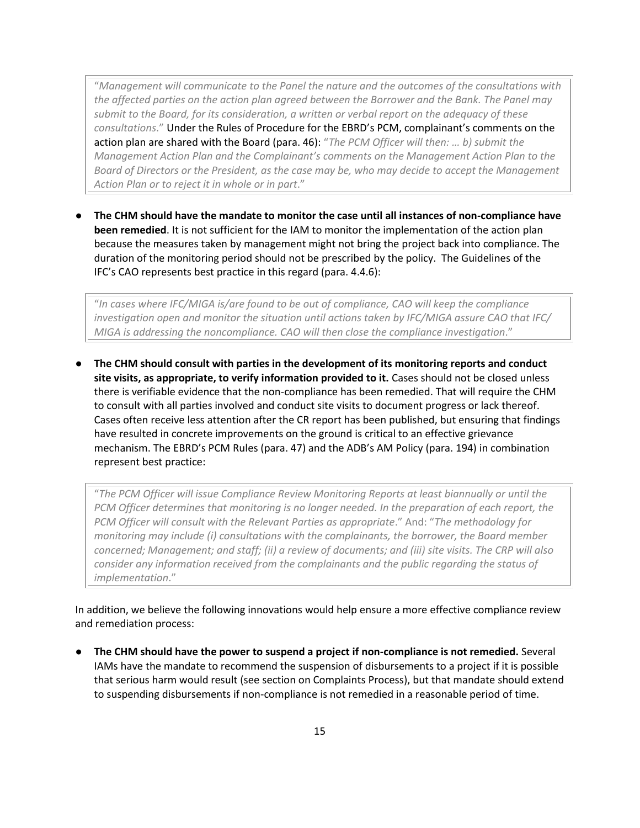"*Management will communicate to the Panel the nature and the outcomes of the consultations with the affected parties on the action plan agreed between the Borrower and the Bank. The Panel may submit to the Board, for its consideration, a written or verbal report on the adequacy of these consultations*." Under the Rules of Procedure for the EBRD's PCM, complainant's comments on the action plan are shared with the Board (para. 46): "*The PCM Officer will then: … b) submit the Management Action Plan and the Complainant's comments on the Management Action Plan to the Board of Directors or the President, as the case may be, who may decide to accept the Management Action Plan or to reject it in whole or in part*."

● **The CHM should have the mandate to monitor the case until all instances of non-compliance have been remedied**. It is not sufficient for the IAM to monitor the implementation of the action plan because the measures taken by management might not bring the project back into compliance. The duration of the monitoring period should not be prescribed by the policy. The Guidelines of the IFC's CAO represents best practice in this regard (para. 4.4.6):

"*In cases where IFC/MIGA is/are found to be out of compliance, CAO will keep the compliance investigation open and monitor the situation until actions taken by IFC/MIGA assure CAO that IFC/ MIGA is addressing the noncompliance. CAO will then close the compliance investigation*."

● **The CHM should consult with parties in the development of its monitoring reports and conduct site visits, as appropriate, to verify information provided to it.** Cases should not be closed unless there is verifiable evidence that the non-compliance has been remedied. That will require the CHM to consult with all parties involved and conduct site visits to document progress or lack thereof. Cases often receive less attention after the CR report has been published, but ensuring that findings have resulted in concrete improvements on the ground is critical to an effective grievance mechanism. The EBRD's PCM Rules (para. 47) and the ADB's AM Policy (para. 194) in combination represent best practice:

"*The PCM Officer will issue Compliance Review Monitoring Reports at least biannually or until the PCM Officer determines that monitoring is no longer needed. In the preparation of each report, the PCM Officer will consult with the Relevant Parties as appropriate*." And: "*The methodology for monitoring may include (i) consultations with the complainants, the borrower, the Board member concerned; Management; and staff; (ii) a review of documents; and (iii) site visits. The CRP will also consider any information received from the complainants and the public regarding the status of implementation*."

In addition, we believe the following innovations would help ensure a more effective compliance review and remediation process:

● **The CHM should have the power to suspend a project if non-compliance is not remedied.** Several IAMs have the mandate to recommend the suspension of disbursements to a project if it is possible that serious harm would result (see section on Complaints Process), but that mandate should extend to suspending disbursements if non-compliance is not remedied in a reasonable period of time.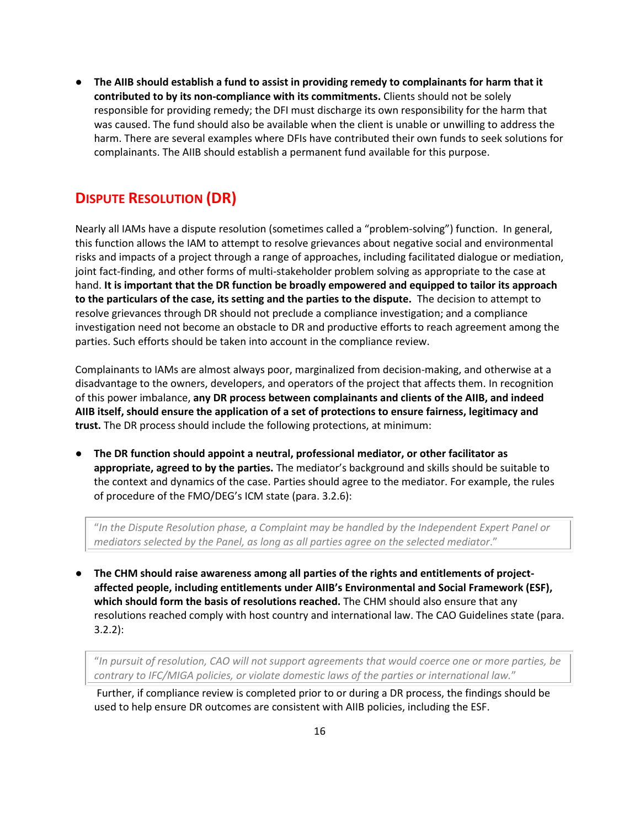● **The AIIB should establish a fund to assist in providing remedy to complainants for harm that it contributed to by its non-compliance with its commitments.** Clients should not be solely responsible for providing remedy; the DFI must discharge its own responsibility for the harm that was caused. The fund should also be available when the client is unable or unwilling to address the harm. There are several examples where DFIs have contributed their own funds to seek solutions for complainants. The AIIB should establish a permanent fund available for this purpose.

## **DISPUTE RESOLUTION (DR)**

Nearly all IAMs have a dispute resolution (sometimes called a "problem-solving") function. In general, this function allows the IAM to attempt to resolve grievances about negative social and environmental risks and impacts of a project through a range of approaches, including facilitated dialogue or mediation, joint fact-finding, and other forms of multi-stakeholder problem solving as appropriate to the case at hand. **It is important that the DR function be broadly empowered and equipped to tailor its approach to the particulars of the case, its setting and the parties to the dispute.** The decision to attempt to resolve grievances through DR should not preclude a compliance investigation; and a compliance investigation need not become an obstacle to DR and productive efforts to reach agreement among the parties. Such efforts should be taken into account in the compliance review.

Complainants to IAMs are almost always poor, marginalized from decision-making, and otherwise at a disadvantage to the owners, developers, and operators of the project that affects them. In recognition of this power imbalance, **any DR process between complainants and clients of the AIIB, and indeed AIIB itself, should ensure the application of a set of protections to ensure fairness, legitimacy and trust.** The DR process should include the following protections, at minimum:

● **The DR function should appoint a neutral, professional mediator, or other facilitator as appropriate, agreed to by the parties.** The mediator's background and skills should be suitable to the context and dynamics of the case. Parties should agree to the mediator. For example, the rules of procedure of the FMO/DEG's ICM state (para. 3.2.6):

"*In the Dispute Resolution phase, a Complaint may be handled by the Independent Expert Panel or mediators selected by the Panel, as long as all parties agree on the selected mediator*."

**•** The CHM should raise awareness among all parties of the rights and entitlements of project**affected people, including entitlements under AIIB's Environmental and Social Framework (ESF), which should form the basis of resolutions reached.** The CHM should also ensure that any resolutions reached comply with host country and international law. The CAO Guidelines state (para. 3.2.2):

"*In pursuit of resolution, CAO will not support agreements that would coerce one or more parties, be contrary to IFC/MIGA policies, or violate domestic laws of the parties or international law.*"

Further, if compliance review is completed prior to or during a DR process, the findings should be used to help ensure DR outcomes are consistent with AIIB policies, including the ESF.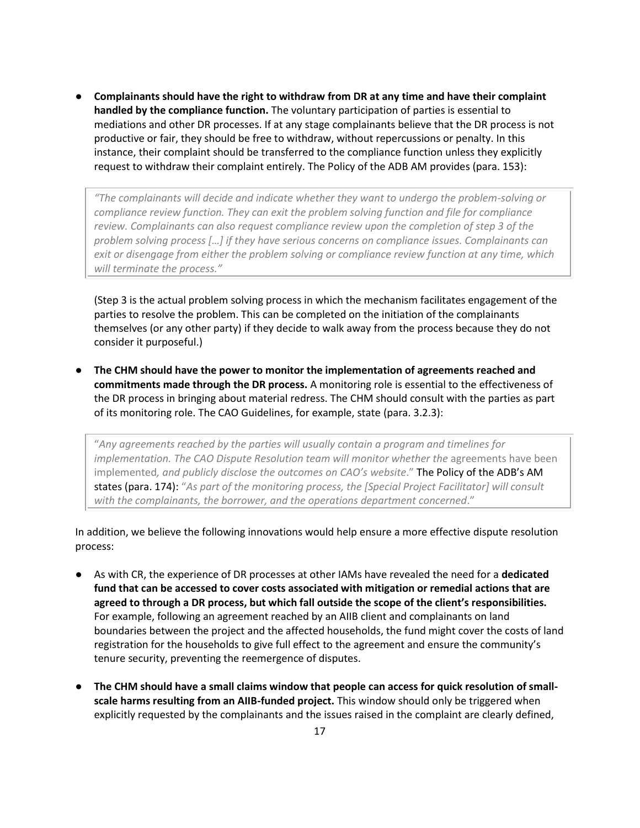● **Complainants should have the right to withdraw from DR at any time and have their complaint handled by the compliance function.** The voluntary participation of parties is essential to mediations and other DR processes. If at any stage complainants believe that the DR process is not productive or fair, they should be free to withdraw, without repercussions or penalty. In this instance, their complaint should be transferred to the compliance function unless they explicitly request to withdraw their complaint entirely. The Policy of the ADB AM provides (para. 153):

*"The complainants will decide and indicate whether they want to undergo the problem-solving or compliance review function. They can exit the problem solving function and file for compliance review. Complainants can also request compliance review upon the completion of step 3 of the problem solving process […] if they have serious concerns on compliance issues. Complainants can exit or disengage from either the problem solving or compliance review function at any time, which will terminate the process."*

(Step 3 is the actual problem solving process in which the mechanism facilitates engagement of the parties to resolve the problem. This can be completed on the initiation of the complainants themselves (or any other party) if they decide to walk away from the process because they do not consider it purposeful.)

● **The CHM should have the power to monitor the implementation of agreements reached and commitments made through the DR process.** A monitoring role is essential to the effectiveness of the DR process in bringing about material redress. The CHM should consult with the parties as part of its monitoring role. The CAO Guidelines, for example, state (para. 3.2.3):

"*Any agreements reached by the parties will usually contain a program and timelines for implementation. The CAO Dispute Resolution team will monitor whether the agreements have been* implemented*, and publicly disclose the outcomes on CAO's website*." The Policy of the ADB's AM states (para. 174): "*As part of the monitoring process, the [Special Project Facilitator] will consult with the complainants, the borrower, and the operations department concerned*."

In addition, we believe the following innovations would help ensure a more effective dispute resolution process:

- As with CR, the experience of DR processes at other IAMs have revealed the need for a **dedicated fund that can be accessed to cover costs associated with mitigation or remedial actions that are agreed to through a DR process, but which fall outside the scope of the client's responsibilities.** For example, following an agreement reached by an AIIB client and complainants on land boundaries between the project and the affected households, the fund might cover the costs of land registration for the households to give full effect to the agreement and ensure the community's tenure security, preventing the reemergence of disputes.
- The CHM should have a small claims window that people can access for quick resolution of small**scale harms resulting from an AIIB-funded project.** This window should only be triggered when explicitly requested by the complainants and the issues raised in the complaint are clearly defined,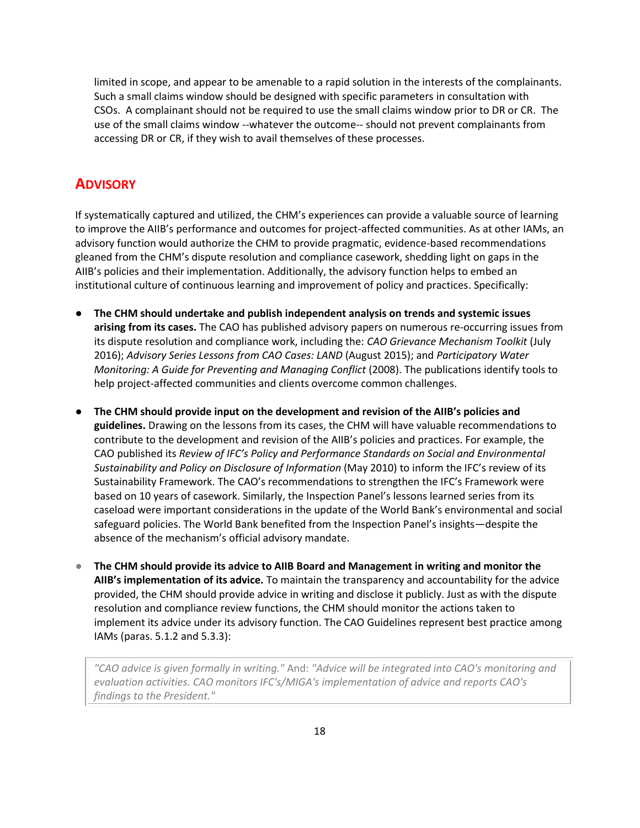limited in scope, and appear to be amenable to a rapid solution in the interests of the complainants. Such a small claims window should be designed with specific parameters in consultation with CSOs. A complainant should not be required to use the small claims window prior to DR or CR. The use of the small claims window --whatever the outcome-- should not prevent complainants from accessing DR or CR, if they wish to avail themselves of these processes.

### **ADVISORY**

If systematically captured and utilized, the CHM's experiences can provide a valuable source of learning to improve the AIIB's performance and outcomes for project-affected communities. As at other IAMs, an advisory function would authorize the CHM to provide pragmatic, evidence-based recommendations gleaned from the CHM's dispute resolution and compliance casework, shedding light on gaps in the AIIB's policies and their implementation. Additionally, the advisory function helps to embed an institutional culture of continuous learning and improvement of policy and practices. Specifically:

- **The CHM should undertake and publish independent analysis on trends and systemic issues arising from its cases.** The CAO has published advisory papers on numerous re-occurring issues from its dispute resolution and compliance work, including the: *CAO Grievance Mechanism Toolkit* (July 2016); *Advisory Series Lessons from CAO Cases: LAND* (August 2015); and *Participatory Water Monitoring: A Guide for Preventing and Managing Conflict* (2008). The publications identify tools to help project-affected communities and clients overcome common challenges.
- **The CHM should provide input on the development and revision of the AIIB's policies and guidelines.** Drawing on the lessons from its cases, the CHM will have valuable recommendations to contribute to the development and revision of the AIIB's policies and practices. For example, the CAO published its *Review of IFC's Policy and Performance Standards on Social and Environmental Sustainability and Policy on Disclosure of Information* (May 2010) to inform the IFC's review of its Sustainability Framework. The CAO's recommendations to strengthen the IFC's Framework were based on 10 years of casework. Similarly, the Inspection Panel's lessons learned series from its caseload were important considerations in the update of the World Bank's environmental and social safeguard policies. The World Bank benefited from the Inspection Panel's insights—despite the absence of the mechanism's official advisory mandate.
- The CHM should provide its advice to AIIB Board and Management in writing and monitor the **AIIB's implementation of its advice.** To maintain the transparency and accountability for the advice provided, the CHM should provide advice in writing and disclose it publicly. Just as with the dispute resolution and compliance review functions, the CHM should monitor the actions taken to implement its advice under its advisory function. The CAO Guidelines represent best practice among IAMs (paras. 5.1.2 and 5.3.3):

*"CAO advice is given formally in writing."* And: *"Advice will be integrated into CAO's monitoring and evaluation activities. CAO monitors IFC's/MIGA's implementation of advice and reports CAO's findings to the President."*